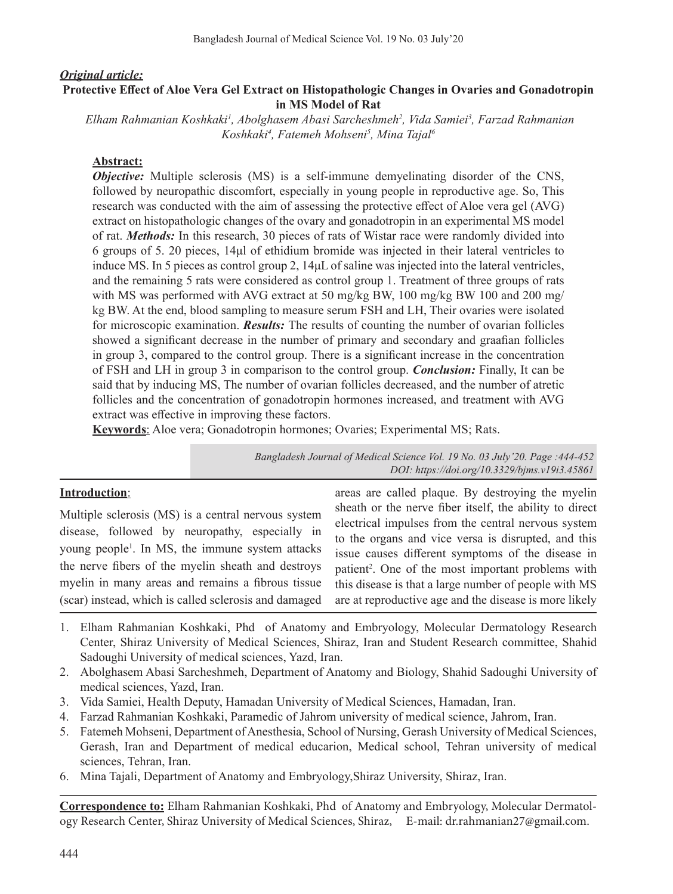#### *Original article:* **Protective Effect of Aloe Vera Gel Extract on Histopathologic Changes in Ovaries and Gonadotropin in MS Model of Rat**

 *Elham Rahmanian Koshkaki1 , Abolghasem Abasi Sarcheshmeh2 , Vida Samiei3 , Farzad Rahmanian Koshkaki4 , Fatemeh Mohseni5 , Mina Tajal6*

# **Abstract:**

*Objective:* Multiple sclerosis (MS) is a self-immune demyelinating disorder of the CNS, followed by neuropathic discomfort, especially in young people in reproductive age. So, This research was conducted with the aim of assessing the protective effect of Aloe vera gel (AVG) extract on histopathologic changes of the ovary and gonadotropin in an experimental MS model of rat. *Methods:* In this research, 30 pieces of rats of Wistar race were randomly divided into 6 groups of 5. 20 pieces, 14μl of ethidium bromide was injected in their lateral ventricles to induce MS. In 5 pieces as control group 2, 14μL of saline was injected into the lateral ventricles, and the remaining 5 rats were considered as control group 1. Treatment of three groups of rats with MS was performed with AVG extract at 50 mg/kg BW, 100 mg/kg BW 100 and 200 mg/ kg BW. At the end, blood sampling to measure serum FSH and LH, Their ovaries were isolated for microscopic examination. *Results:* The results of counting the number of ovarian follicles showed a significant decrease in the number of primary and secondary and graafian follicles in group 3, compared to the control group. There is a significant increase in the concentration of FSH and LH in group 3 in comparison to the control group. *Conclusion:* Finally, It can be said that by inducing MS, The number of ovarian follicles decreased, and the number of atretic follicles and the concentration of gonadotropin hormones increased, and treatment with AVG extract was effective in improving these factors.

**Keywords**: Aloe vera; Gonadotropin hormones; Ovaries; Experimental MS; Rats.

*Bangladesh Journal of Medical Science Vol. 19 No. 03 July'20. Page :444-452 DOI: https://doi.org/10.3329/bjms.v19i3.45861*

## **Introduction**:

Multiple sclerosis (MS) is a central nervous system disease, followed by neuropathy, especially in young people<sup>1</sup>. In MS, the immune system attacks the nerve fibers of the myelin sheath and destroys myelin in many areas and remains a fibrous tissue (scar) instead, which is called sclerosis and damaged areas are called plaque. By destroying the myelin sheath or the nerve fiber itself, the ability to direct electrical impulses from the central nervous system to the organs and vice versa is disrupted, and this issue causes different symptoms of the disease in patient<sup>2</sup>. One of the most important problems with this disease is that a large number of people with MS are at reproductive age and the disease is more likely

- 1. Elham Rahmanian Koshkaki, Phd of Anatomy and Embryology, Molecular Dermatology Research Center, Shiraz University of Medical Sciences, Shiraz, Iran and Student Research committee, Shahid Sadoughi University of medical sciences, Yazd, Iran.
- 2. Abolghasem Abasi Sarcheshmeh, Department of Anatomy and Biology, Shahid Sadoughi University of medical sciences, Yazd, Iran.
- 3. Vida Samiei, Health Deputy, Hamadan University of Medical Sciences, Hamadan, Iran.
- 4. Farzad Rahmanian Koshkaki, Paramedic of Jahrom university of medical science, Jahrom, Iran.
- 5. Fatemeh Mohseni, Department of Anesthesia, School of Nursing, Gerash University of Medical Sciences, Gerash, Iran and Department of medical educarion, Medical school, Tehran university of medical sciences, Tehran, Iran.
- 6. Mina Tajali, Department of Anatomy and Embryology,Shiraz University, Shiraz, Iran.

**Correspondence to:** Elham Rahmanian Koshkaki, Phd of Anatomy and Embryology, Molecular Dermatology Research Center, Shiraz University of Medical Sciences, Shiraz, E-mail: dr.rahmanian27@gmail.com.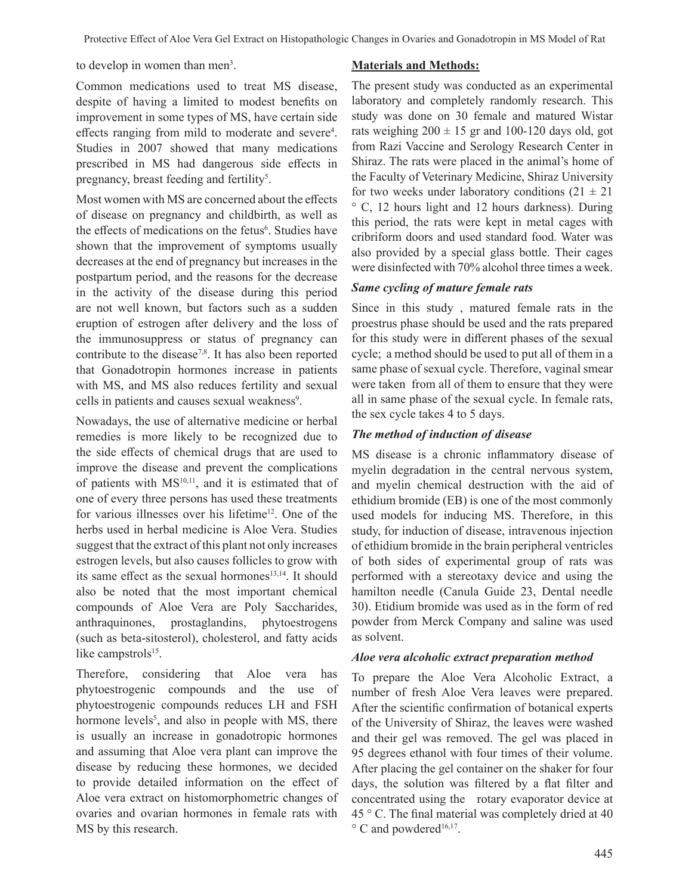to develop in women than men<sup>3</sup>.

## **Materials and Methods:**

Common medications used to treat MS disease, despite of having a limited to modest benefits on improvement in some types of MS, have certain side effects ranging from mild to moderate and severe<sup>4</sup>. Studies in 2007 showed that many medications prescribed in MS had dangerous side effects in pregnancy, breast feeding and fertility<sup>5</sup>.

Most women with MS are concerned about the effects of disease on pregnancy and childbirth, as well as the effects of medications on the fetus<sup>6</sup>. Studies have shown that the improvement of symptoms usually decreases at the end of pregnancy but increases in the postpartum period, and the reasons for the decrease in the activity of the disease during this period are not well known, but factors such as a sudden eruption of estrogen after delivery and the loss of the immunosuppress or status of pregnancy can contribute to the disease<sup>7,8</sup>. It has also been reported that Gonadotropin hormones increase in patients with MS, and MS also reduces fertility and sexual cells in patients and causes sexual weakness<sup>9</sup>.

Nowadays, the use of alternative medicine or herbal remedies is more likely to be recognized due to the side effects of chemical drugs that are used to improve the disease and prevent the complications of patients with MS<sup>10,11</sup>, and it is estimated that of one of every three persons has used these treatments for various illnesses over his lifetime<sup>12</sup>. One of the herbs used in herbal medicine is Aloe Vera. Studies suggest that the extract of this plant not only increases estrogen levels, but also causes follicles to grow with its same effect as the sexual hormones<sup>13,14</sup>. It should also be noted that the most important chemical compounds of Aloe Vera are Poly Saccharides, anthraquinones, prostaglandins, phytoestrogens (such as beta-sitosterol), cholesterol, and fatty acids like campstrols<sup>15</sup>.

Therefore, considering that Aloe vera has phytoestrogenic compounds and the use of phytoestrogenic compounds reduces LH and FSH hormone levels<sup>5</sup>, and also in people with MS, there is usually an increase in gonadotropic hormones and assuming that Aloe vera plant can improve the disease by reducing these hormones, we decided to provide detailed information on the effect of Aloe vera extract on histomorphometric changes of ovaries and ovarian hormones in female rats with MS by this research.

The present study was conducted as an experimental laboratory and completely randomly research. This study was done on 30 female and matured Wistar rats weighing  $200 \pm 15$  gr and 100-120 days old, got from Razi Vaccine and Serology Research Center in Shiraz. The rats were placed in the animal's home of the Faculty of Veterinary Medicine, Shiraz University for two weeks under laboratory conditions  $(21 \pm 21)$ ° C, 12 hours light and 12 hours darkness). During this period, the rats were kept in metal cages with cribriform doors and used standard food. Water was also provided by a special glass bottle. Their cages were disinfected with 70% alcohol three times a week.

## *Same cycling of mature female rats*

Since in this study , matured female rats in the proestrus phase should be used and the rats prepared for this study were in different phases of the sexual cycle; a method should be used to put all of them in a same phase of sexual cycle. Therefore, vaginal smear were taken from all of them to ensure that they were all in same phase of the sexual cycle. In female rats, the sex cycle takes 4 to 5 days.

# *The method of induction of disease*

MS disease is a chronic inflammatory disease of myelin degradation in the central nervous system, and myelin chemical destruction with the aid of ethidium bromide (EB) is one of the most commonly used models for inducing MS. Therefore, in this study, for induction of disease, intravenous injection of ethidium bromide in the brain peripheral ventricles of both sides of experimental group of rats was performed with a stereotaxy device and using the hamilton needle (Canula Guide 23, Dental needle 30). Etidium bromide was used as in the form of red powder from Merck Company and saline was used as solvent.

## *Aloe vera alcoholic extract preparation method*

To prepare the Aloe Vera Alcoholic Extract, a number of fresh Aloe Vera leaves were prepared. After the scientific confirmation of botanical experts of the University of Shiraz, the leaves were washed and their gel was removed. The gel was placed in 95 degrees ethanol with four times of their volume. After placing the gel container on the shaker for four days, the solution was filtered by a flat filter and concentrated using the rotary evaporator device at 45 ° C. The final material was completely dried at 40  $\degree$  C and powdered<sup>16,17</sup>.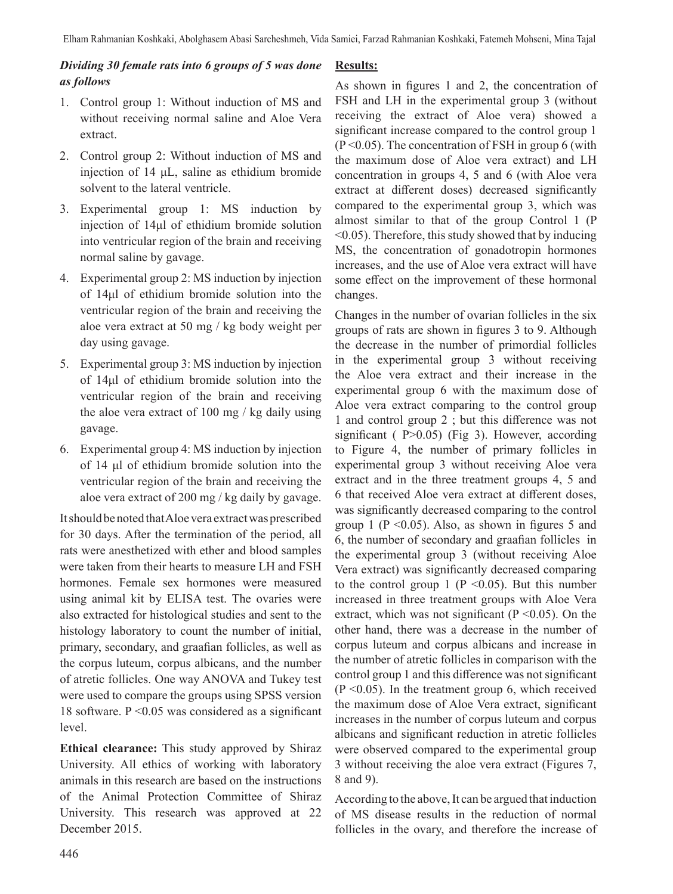# *Dividing 30 female rats into 6 groups of 5 was done as follows*

- 1. Control group 1: Without induction of MS and without receiving normal saline and Aloe Vera extract.
- 2. Control group 2: Without induction of MS and injection of 14 μL, saline as ethidium bromide solvent to the lateral ventricle.
- 3. Experimental group 1: MS induction by injection of 14μl of ethidium bromide solution into ventricular region of the brain and receiving normal saline by gavage.
- 4. Experimental group 2: MS induction by injection of 14μl of ethidium bromide solution into the ventricular region of the brain and receiving the aloe vera extract at 50 mg / kg body weight per day using gavage.
- 5. Experimental group 3: MS induction by injection of 14μl of ethidium bromide solution into the ventricular region of the brain and receiving the aloe vera extract of 100 mg / kg daily using gavage.
- 6. Experimental group 4: MS induction by injection of 14 μl of ethidium bromide solution into the ventricular region of the brain and receiving the aloe vera extract of 200 mg / kg daily by gavage.

It should be noted that Aloe vera extract was prescribed for 30 days. After the termination of the period, all rats were anesthetized with ether and blood samples were taken from their hearts to measure LH and FSH hormones. Female sex hormones were measured using animal kit by ELISA test. The ovaries were also extracted for histological studies and sent to the histology laboratory to count the number of initial, primary, secondary, and graafian follicles, as well as the corpus luteum, corpus albicans, and the number of atretic follicles. One way ANOVA and Tukey test were used to compare the groups using SPSS version 18 software.  $P \le 0.05$  was considered as a significant level.

**Ethical clearance:** This study approved by Shiraz University. All ethics of working with laboratory animals in this research are based on the instructions of the Animal Protection Committee of Shiraz University. This research was approved at 22 December 2015.

# **Results:**

As shown in figures 1 and 2, the concentration of FSH and LH in the experimental group 3 (without receiving the extract of Aloe vera) showed a significant increase compared to the control group 1  $(P<0.05)$ . The concentration of FSH in group 6 (with the maximum dose of Aloe vera extract) and LH concentration in groups 4, 5 and 6 (with Aloe vera extract at different doses) decreased significantly compared to the experimental group 3, which was almost similar to that of the group Control 1 (P  $\leq$  0.05). Therefore, this study showed that by inducing MS, the concentration of gonadotropin hormones increases, and the use of Aloe vera extract will have some effect on the improvement of these hormonal changes.

Changes in the number of ovarian follicles in the six groups of rats are shown in figures 3 to 9. Although the decrease in the number of primordial follicles in the experimental group 3 without receiving the Aloe vera extract and their increase in the experimental group 6 with the maximum dose of Aloe vera extract comparing to the control group 1 and control group 2 ; but this difference was not significant ( $P>0.05$ ) (Fig 3). However, according to Figure 4, the number of primary follicles in experimental group 3 without receiving Aloe vera extract and in the three treatment groups 4, 5 and 6 that received Aloe vera extract at different doses, was significantly decreased comparing to the control group 1 ( $P \le 0.05$ ). Also, as shown in figures 5 and 6, the number of secondary and graafian follicles in the experimental group 3 (without receiving Aloe Vera extract) was significantly decreased comparing to the control group 1 ( $P \le 0.05$ ). But this number increased in three treatment groups with Aloe Vera extract, which was not significant ( $P \le 0.05$ ). On the other hand, there was a decrease in the number of corpus luteum and corpus albicans and increase in the number of atretic follicles in comparison with the control group 1 and this difference was not significant (P <0.05). In the treatment group 6, which received the maximum dose of Aloe Vera extract, significant increases in the number of corpus luteum and corpus albicans and significant reduction in atretic follicles were observed compared to the experimental group 3 without receiving the aloe vera extract (Figures 7, 8 and 9).

According to the above, It can be argued that induction of MS disease results in the reduction of normal follicles in the ovary, and therefore the increase of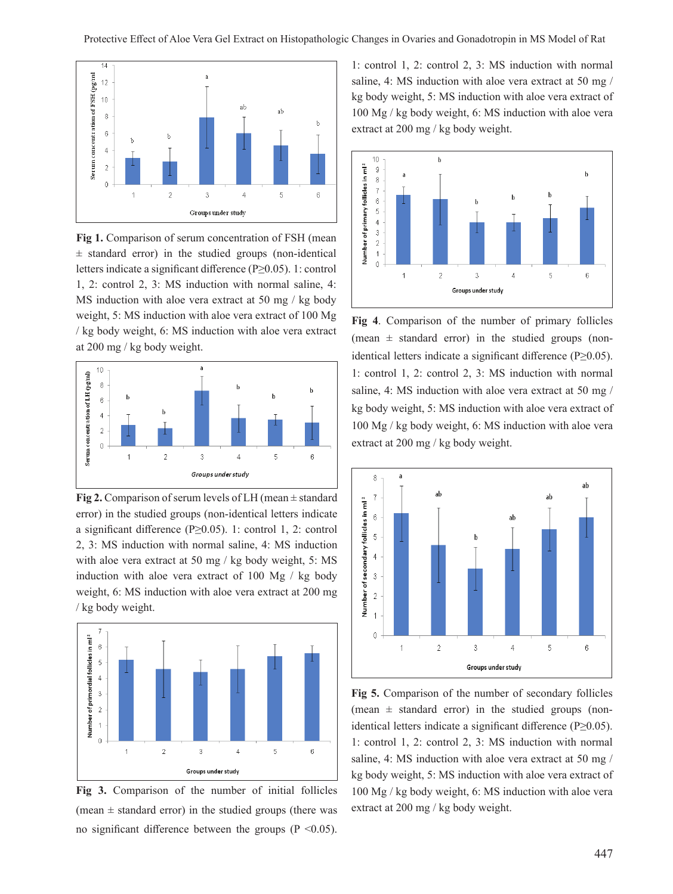

**Fig 1.** Comparison of serum concentration of FSH (mean ± standard error) in the studied groups (non-identical letters indicate a significant difference (P≥0.05). 1: control 1, 2: control 2, 3: MS induction with normal saline, 4: MS induction with aloe vera extract at 50 mg / kg body weight, 5: MS induction with aloe vera extract of 100 Mg / kg body weight, 6: MS induction with aloe vera extract at 200 mg / kg body weight.



**Fig 2.** Comparison of serum levels of LH (mean  $\pm$  standard error) in the studied groups (non-identical letters indicate a significant difference (P≥0.05). 1: control 1, 2: control 2, 3: MS induction with normal saline, 4: MS induction with aloe vera extract at 50 mg / kg body weight, 5: MS induction with aloe vera extract of 100 Mg / kg body weight, 6: MS induction with aloe vera extract at 200 mg / kg body weight.



**Fig 3.** Comparison of the number of initial follicles (mean  $\pm$  standard error) in the studied groups (there was no significant difference between the groups ( $P \le 0.05$ ).

1: control 1, 2: control 2, 3: MS induction with normal saline, 4: MS induction with aloe vera extract at 50 mg / kg body weight, 5: MS induction with aloe vera extract of 100 Mg / kg body weight, 6: MS induction with aloe vera extract at 200 mg / kg body weight.



**Fig 4**. Comparison of the number of primary follicles (mean  $\pm$  standard error) in the studied groups (nonidentical letters indicate a significant difference (P≥0.05). 1: control 1, 2: control 2, 3: MS induction with normal saline, 4: MS induction with aloe vera extract at 50 mg / kg body weight, 5: MS induction with aloe vera extract of 100 Mg / kg body weight, 6: MS induction with aloe vera extract at 200 mg / kg body weight.



**Fig 5.** Comparison of the number of secondary follicles (mean  $\pm$  standard error) in the studied groups (nonidentical letters indicate a significant difference (P≥0.05). 1: control 1, 2: control 2, 3: MS induction with normal saline, 4: MS induction with aloe vera extract at 50 mg / kg body weight, 5: MS induction with aloe vera extract of 100 Mg / kg body weight, 6: MS induction with aloe vera extract at 200 mg / kg body weight.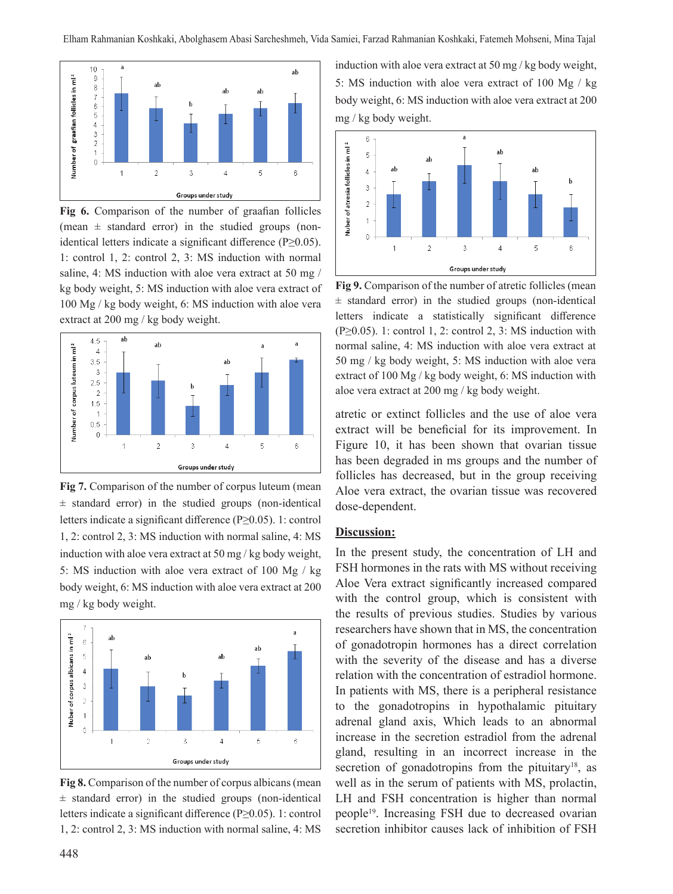

**Fig 6.** Comparison of the number of graafian follicles (mean  $\pm$  standard error) in the studied groups (nonidentical letters indicate a significant difference (P≥0.05). 1: control 1, 2: control 2, 3: MS induction with normal saline, 4: MS induction with aloe vera extract at 50 mg / kg body weight, 5: MS induction with aloe vera extract of 100 Mg / kg body weight, 6: MS induction with aloe vera extract at 200 mg / kg body weight.



**Fig 7.** Comparison of the number of corpus luteum (mean  $±$  standard error) in the studied groups (non-identical letters indicate a significant difference (P≥0.05). 1: control 1, 2: control 2, 3: MS induction with normal saline, 4: MS induction with aloe vera extract at 50 mg / kg body weight, 5: MS induction with aloe vera extract of 100 Mg / kg body weight, 6: MS induction with aloe vera extract at 200 mg / kg body weight.



**Fig 8.** Comparison of the number of corpus albicans(mean  $±$  standard error) in the studied groups (non-identical letters indicate a significant difference (P≥0.05). 1: control 1, 2: control 2, 3: MS induction with normal saline, 4: MS

induction with aloe vera extract at 50 mg / kg body weight, 5: MS induction with aloe vera extract of 100 Mg / kg body weight, 6: MS induction with aloe vera extract at 200 mg / kg body weight.



**Fig 9.** Comparison of the number of atretic follicles (mean  $\pm$  standard error) in the studied groups (non-identical letters indicate a statistically significant difference  $(P \ge 0.05)$ . 1: control 1, 2: control 2, 3: MS induction with normal saline, 4: MS induction with aloe vera extract at 50 mg / kg body weight, 5: MS induction with aloe vera extract of 100 Mg / kg body weight, 6: MS induction with aloe vera extract at 200 mg / kg body weight.

atretic or extinct follicles and the use of aloe vera extract will be beneficial for its improvement. In Figure 10, it has been shown that ovarian tissue has been degraded in ms groups and the number of follicles has decreased, but in the group receiving Aloe vera extract, the ovarian tissue was recovered dose-dependent.

#### **Discussion:**

In the present study, the concentration of LH and FSH hormones in the rats with MS without receiving Aloe Vera extract significantly increased compared with the control group, which is consistent with the results of previous studies. Studies by various researchers have shown that in MS, the concentration of gonadotropin hormones has a direct correlation with the severity of the disease and has a diverse relation with the concentration of estradiol hormone. In patients with MS, there is a peripheral resistance to the gonadotropins in hypothalamic pituitary adrenal gland axis, Which leads to an abnormal increase in the secretion estradiol from the adrenal gland, resulting in an incorrect increase in the secretion of gonadotropins from the pituitary<sup>18</sup>, as well as in the serum of patients with MS, prolactin, LH and FSH concentration is higher than normal people<sup>19</sup>. Increasing FSH due to decreased ovarian secretion inhibitor causes lack of inhibition of FSH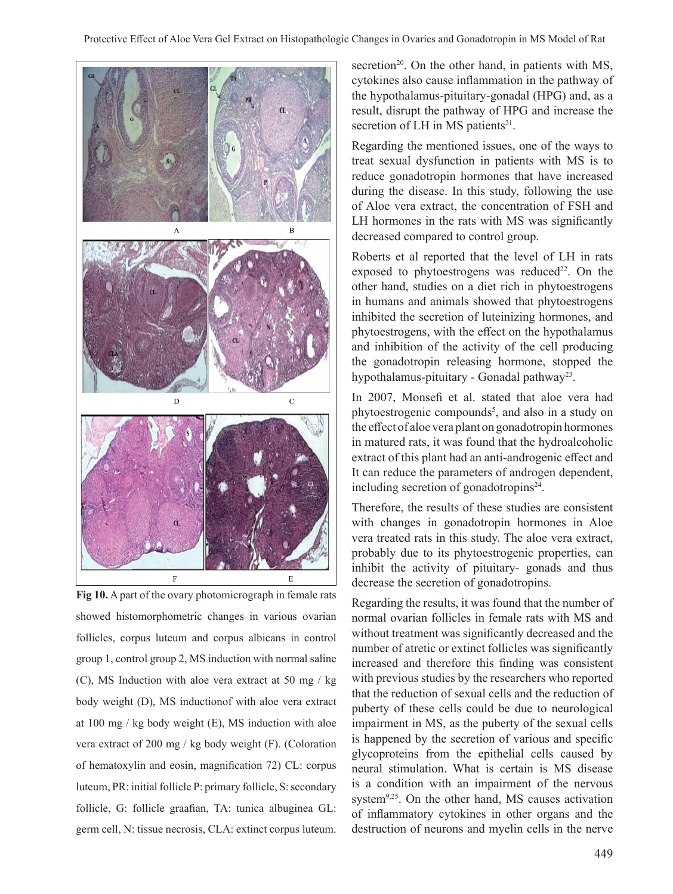

**Fig 10.** A part of the ovary photomicrograph in female rats showed histomorphometric changes in various ovarian follicles, corpus luteum and corpus albicans in control group 1, control group 2, MS induction with normal saline (C), MS Induction with aloe vera extract at 50 mg / kg body weight (D), MS inductionof with aloe vera extract at 100 mg / kg body weight (E), MS induction with aloe vera extract of 200 mg / kg body weight (F). (Coloration of hematoxylin and eosin, magnification 72) CL: corpus luteum, PR: initial follicle P: primary follicle, S: secondary follicle, G: follicle graafian, TA: tunica albuginea GL: germ cell, N: tissue necrosis, CLA: extinct corpus luteum.

secretion<sup>20</sup>. On the other hand, in patients with  $MS$ , cytokines also cause inflammation in the pathway of the hypothalamus-pituitary-gonadal (HPG) and, as a result, disrupt the pathway of HPG and increase the secretion of LH in MS patients $21$ .

Regarding the mentioned issues, one of the ways to treat sexual dysfunction in patients with MS is to reduce gonadotropin hormones that have increased during the disease. In this study, following the use of Aloe vera extract, the concentration of FSH and LH hormones in the rats with MS was significantly decreased compared to control group.

Roberts et al reported that the level of LH in rats exposed to phytoestrogens was reduced<sup>22</sup>. On the other hand, studies on a diet rich in phytoestrogens in humans and animals showed that phytoestrogens inhibited the secretion of luteinizing hormones, and phytoestrogens, with the effect on the hypothalamus and inhibition of the activity of the cell producing the gonadotropin releasing hormone, stopped the hypothalamus-pituitary - Gonadal pathway<sup>23</sup>.

In 2007, Monsefi et al. stated that aloe vera had phytoestrogenic compounds<sup>5</sup>, and also in a study on the effect of aloe vera plant on gonadotropin hormones in matured rats, it was found that the hydroalcoholic extract of this plant had an anti-androgenic effect and It can reduce the parameters of androgen dependent, including secretion of gonadotropins $24$ .

Therefore, the results of these studies are consistent with changes in gonadotropin hormones in Aloe vera treated rats in this study. The aloe vera extract, probably due to its phytoestrogenic properties, can inhibit the activity of pituitary- gonads and thus decrease the secretion of gonadotropins.

Regarding the results, it was found that the number of normal ovarian follicles in female rats with MS and without treatment was significantly decreased and the number of atretic or extinct follicles was significantly increased and therefore this finding was consistent with previous studies by the researchers who reported that the reduction of sexual cells and the reduction of puberty of these cells could be due to neurological impairment in MS, as the puberty of the sexual cells is happened by the secretion of various and specific glycoproteins from the epithelial cells caused by neural stimulation. What is certain is MS disease is a condition with an impairment of the nervous system<sup>9,25</sup>. On the other hand, MS causes activation of inflammatory cytokines in other organs and the destruction of neurons and myelin cells in the nerve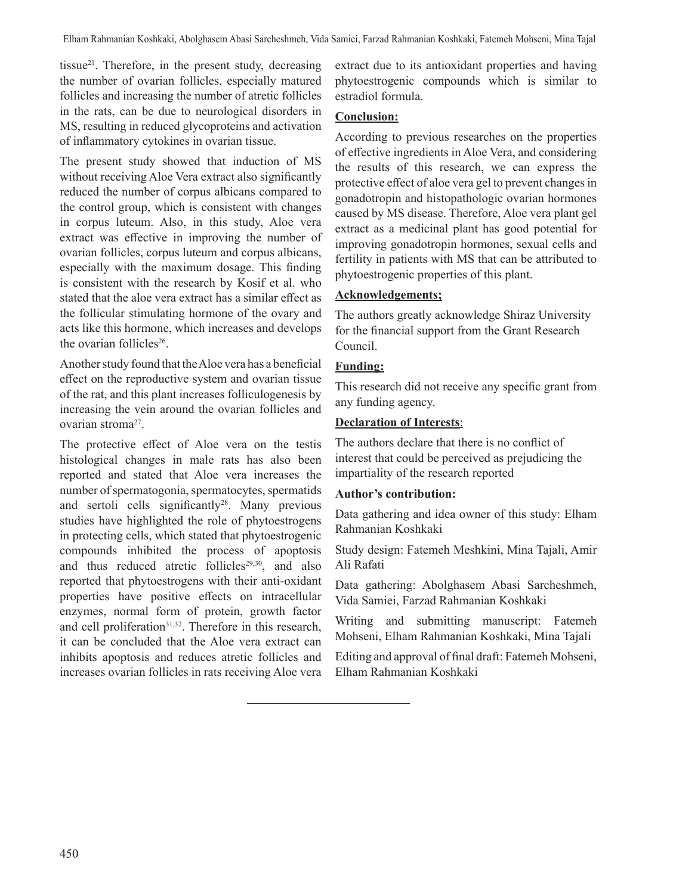tissue21. Therefore, in the present study, decreasing the number of ovarian follicles, especially matured follicles and increasing the number of atretic follicles in the rats, can be due to neurological disorders in MS, resulting in reduced glycoproteins and activation of inflammatory cytokines in ovarian tissue.

The present study showed that induction of MS without receiving Aloe Vera extract also significantly reduced the number of corpus albicans compared to the control group, which is consistent with changes in corpus luteum. Also, in this study, Aloe vera extract was effective in improving the number of ovarian follicles, corpus luteum and corpus albicans, especially with the maximum dosage. This finding is consistent with the research by Kosif et al. who stated that the aloe vera extract has a similar effect as the follicular stimulating hormone of the ovary and acts like this hormone, which increases and develops the ovarian follicles<sup>26</sup>.

Another study found that the Aloe vera has a beneficial effect on the reproductive system and ovarian tissue of the rat, and this plant increases folliculogenesis by increasing the vein around the ovarian follicles and ovarian stroma<sup>27</sup>.

The protective effect of Aloe vera on the testis histological changes in male rats has also been reported and stated that Aloe vera increases the number of spermatogonia, spermatocytes, spermatids and sertoli cells significantly<sup>28</sup>. Many previous studies have highlighted the role of phytoestrogens in protecting cells, which stated that phytoestrogenic compounds inhibited the process of apoptosis and thus reduced atretic follicles<sup>29,30</sup>, and also reported that phytoestrogens with their anti-oxidant properties have positive effects on intracellular enzymes, normal form of protein, growth factor and cell proliferation<sup>31,32</sup>. Therefore in this research, it can be concluded that the Aloe vera extract can inhibits apoptosis and reduces atretic follicles and increases ovarian follicles in rats receiving Aloe vera

extract due to its antioxidant properties and having phytoestrogenic compounds which is similar to estradiol formula.

#### **Conclusion:**

According to previous researches on the properties of effective ingredients in Aloe Vera, and considering the results of this research, we can express the protective effect of aloe vera gel to prevent changes in gonadotropin and histopathologic ovarian hormones caused by MS disease. Therefore, Aloe vera plant gel extract as a medicinal plant has good potential for improving gonadotropin hormones, sexual cells and fertility in patients with MS that can be attributed to phytoestrogenic properties of this plant.

# **Acknowledgements;**

The authors greatly acknowledge Shiraz University for the financial support from the Grant Research Council.

# **Funding:**

This research did not receive any specific grant from any funding agency.

# **Declaration of Interests**:

The authors declare that there is no conflict of interest that could be perceived as prejudicing the impartiality of the research reported

## **Author's contribution:**

Data gathering and idea owner of this study: Elham Rahmanian Koshkaki

Study design: Fatemeh Meshkini, Mina Tajali, Amir Ali Rafati

Data gathering: Abolghasem Abasi Sarcheshmeh, Vida Samiei, Farzad Rahmanian Koshkaki

Writing and submitting manuscript: Fatemeh Mohseni, Elham Rahmanian Koshkaki, Mina Tajali

Editing and approval of final draft: Fatemeh Mohseni, Elham Rahmanian Koshkaki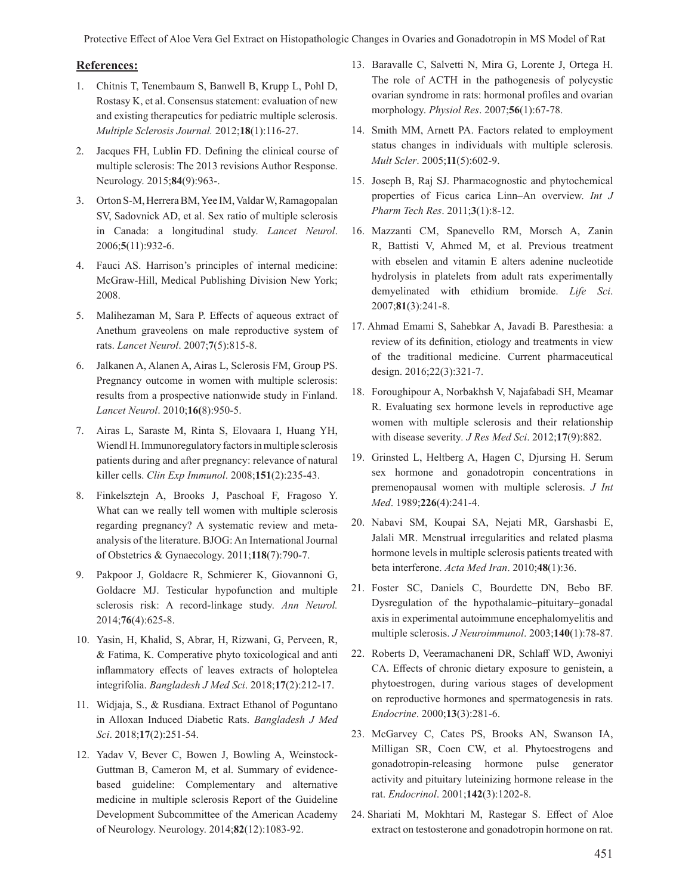Protective Effect of Aloe Vera Gel Extract on Histopathologic Changes in Ovaries and Gonadotropin in MS Model of Rat

#### **References:**

- 1. Chitnis T, Tenembaum S, Banwell B, Krupp L, Pohl D, Rostasy K, et al. Consensus statement: evaluation of new and existing therapeutics for pediatric multiple sclerosis. *Multiple Sclerosis Journal.* 2012;**18**(1):116-27.
- 2. Jacques FH, Lublin FD. Defining the clinical course of multiple sclerosis: The 2013 revisions Author Response. Neurology. 2015;**84**(9):963-.
- 3. Orton S-M, Herrera BM, Yee IM, Valdar W, Ramagopalan SV, Sadovnick AD, et al. Sex ratio of multiple sclerosis in Canada: a longitudinal study. *Lancet Neurol*. 2006;**5**(11):932-6.
- 4. Fauci AS. Harrison's principles of internal medicine: McGraw-Hill, Medical Publishing Division New York; 2008.
- 5. Malihezaman M, Sara P. Effects of aqueous extract of Anethum graveolens on male reproductive system of rats. *Lancet Neurol*. 2007;**7**(5):815-8.
- 6. Jalkanen A, Alanen A, Airas L, Sclerosis FM, Group PS. Pregnancy outcome in women with multiple sclerosis: results from a prospective nationwide study in Finland. *Lancet Neurol*. 2010;**16(**8):950-5.
- 7. Airas L, Saraste M, Rinta S, Elovaara I, Huang YH, Wiendl H. Immunoregulatory factors in multiple sclerosis patients during and after pregnancy: relevance of natural killer cells. *Clin Exp Immunol*. 2008;**151**(2):235-43.
- 8. Finkelsztejn A, Brooks J, Paschoal F, Fragoso Y. What can we really tell women with multiple sclerosis regarding pregnancy? A systematic review and meta‐ analysis of the literature. BJOG: An International Journal of Obstetrics & Gynaecology. 2011;**118**(7):790-7.
- 9. Pakpoor J, Goldacre R, Schmierer K, Giovannoni G, Goldacre MJ. Testicular hypofunction and multiple sclerosis risk: A record‐linkage study. *Ann Neurol.* 2014;**76**(4):625-8.
- 10. Yasin, H, Khalid, S, Abrar, H, Rizwani, G, Perveen, R, & Fatima, K. Comperative phyto toxicological and anti inflammatory effects of leaves extracts of holoptelea integrifolia. *Bangladesh J Med Sci*. 2018;**17**(2):212-17.
- 11. Widjaja, S., & Rusdiana. Extract Ethanol of Poguntano in Alloxan Induced Diabetic Rats. *Bangladesh J Med Sci*. 2018;**17**(2):251-54.
- 12. Yadav V, Bever C, Bowen J, Bowling A, Weinstock-Guttman B, Cameron M, et al. Summary of evidencebased guideline: Complementary and alternative medicine in multiple sclerosis Report of the Guideline Development Subcommittee of the American Academy of Neurology. Neurology. 2014;**82**(12):1083-92.
- 13. Baravalle C, Salvetti N, Mira G, Lorente J, Ortega H. The role of ACTH in the pathogenesis of polycystic ovarian syndrome in rats: hormonal profiles and ovarian morphology. *Physiol Res*. 2007;**56**(1):67-78.
- 14. Smith MM, Arnett PA. Factors related to employment status changes in individuals with multiple sclerosis. *Mult Scler*. 2005;**11**(5):602-9.
- 15. Joseph B, Raj SJ. Pharmacognostic and phytochemical properties of Ficus carica Linn–An overview. *Int J Pharm Tech Res*. 2011;**3**(1):8-12.
- 16. Mazzanti CM, Spanevello RM, Morsch A, Zanin R, Battisti V, Ahmed M, et al. Previous treatment with ebselen and vitamin E alters adenine nucleotide hydrolysis in platelets from adult rats experimentally demyelinated with ethidium bromide. *Life Sci*. 2007;**81**(3):241-8.
- 17. Ahmad Emami S, Sahebkar A, Javadi B. Paresthesia: a review of its definition, etiology and treatments in view of the traditional medicine. Current pharmaceutical design. 2016;22(3):321-7.
- 18. Foroughipour A, Norbakhsh V, Najafabadi SH, Meamar R. Evaluating sex hormone levels in reproductive age women with multiple sclerosis and their relationship with disease severity*. J Res Med Sci*. 2012;**17**(9):882.
- 19. Grinsted L, Heltberg A, Hagen C, Djursing H. Serum sex hormone and gonadotropin concentrations in premenopausal women with multiple sclerosis. *J Int Med*. 1989;**226**(4):241-4.
- 20. Nabavi SM, Koupai SA, Nejati MR, Garshasbi E, Jalali MR. Menstrual irregularities and related plasma hormone levels in multiple sclerosis patients treated with beta interferone. *Acta Med Iran*. 2010;**48**(1):36.
- 21. Foster SC, Daniels C, Bourdette DN, Bebo BF. Dysregulation of the hypothalamic–pituitary–gonadal axis in experimental autoimmune encephalomyelitis and multiple sclerosis. *J Neuroimmunol*. 2003;**140**(1):78-87.
- 22. Roberts D, Veeramachaneni DR, Schlaff WD, Awoniyi CA. Effects of chronic dietary exposure to genistein, a phytoestrogen, during various stages of development on reproductive hormones and spermatogenesis in rats. *Endocrine*. 2000;**13**(3):281-6.
- 23. McGarvey C, Cates PS, Brooks AN, Swanson IA, Milligan SR, Coen CW, et al. Phytoestrogens and gonadotropin-releasing hormone pulse generator activity and pituitary luteinizing hormone release in the rat. *Endocrinol*. 2001;**142**(3):1202-8.
- 24. Shariati M, Mokhtari M, Rastegar S. Effect of Aloe extract on testosterone and gonadotropin hormone on rat.